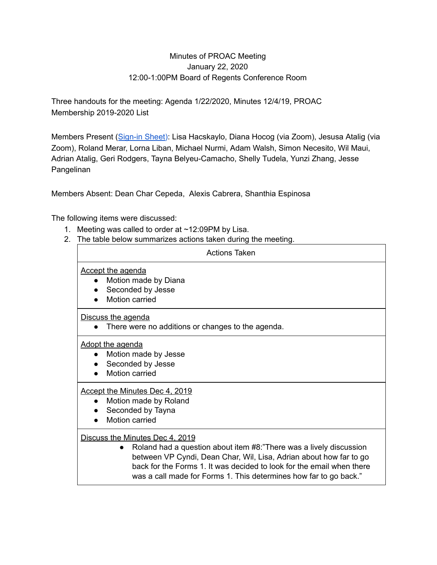## Minutes of PROAC Meeting January 22, 2020 12:00-1:00PM Board of Regents Conference Room

Three handouts for the meeting: Agenda 1/22/2020, Minutes 12/4/19, PROAC Membership 2019-2020 List

Members Present ([Sign-in](https://drive.google.com/file/d/0B4Dfhjt-Op0ydEJ0LXFkdkgySThKZTNWYXpJZWpjZzNVNG9z/view?usp=sharing) Sheet): Lisa Hacskaylo, Diana Hocog (via Zoom), Jesusa Atalig (via Zoom), Roland Merar, Lorna Liban, Michael Nurmi, Adam Walsh, Simon Necesito, Wil Maui, Adrian Atalig, Geri Rodgers, Tayna Belyeu-Camacho, Shelly Tudela, Yunzi Zhang, Jesse Pangelinan

Members Absent: Dean Char Cepeda, Alexis Cabrera, Shanthia Espinosa

The following items were discussed:

- 1. Meeting was called to order at ~12:09PM by Lisa.
- 2. The table below summarizes actions taken during the meeting.

| <b>Actions Taken</b>                                                                                                                                                                                                                                                                                                      |
|---------------------------------------------------------------------------------------------------------------------------------------------------------------------------------------------------------------------------------------------------------------------------------------------------------------------------|
| <b>Accept the agenda</b><br>Motion made by Diana<br>Seconded by Jesse<br>Motion carried                                                                                                                                                                                                                                   |
| Discuss the agenda<br>There were no additions or changes to the agenda.                                                                                                                                                                                                                                                   |
| <b>Adopt the agenda</b><br>Motion made by Jesse<br>Seconded by Jesse<br>Motion carried                                                                                                                                                                                                                                    |
| Accept the Minutes Dec 4, 2019<br>Motion made by Roland<br>Seconded by Tayna<br>Motion carried                                                                                                                                                                                                                            |
| Discuss the Minutes Dec 4, 2019<br>Roland had a question about item #8:"There was a lively discussion<br>between VP Cyndi, Dean Char, Wil, Lisa, Adrian about how far to go<br>back for the Forms 1. It was decided to look for the email when there<br>was a call made for Forms 1. This determines how far to go back." |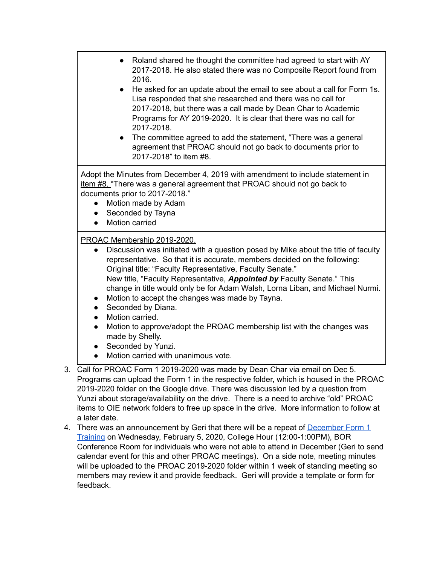- Roland shared he thought the committee had agreed to start with AY 2017-2018. He also stated there was no Composite Report found from 2016.
- He asked for an update about the email to see about a call for Form 1s. Lisa responded that she researched and there was no call for 2017-2018, but there was a call made by Dean Char to Academic Programs for AY 2019-2020. It is clear that there was no call for 2017-2018.
- The committee agreed to add the statement, "There was a general agreement that PROAC should not go back to documents prior to 2017-2018" to item #8.

Adopt the Minutes from December 4, 2019 with amendment to include statement in item #8, "There was a general agreement that PROAC should not go back to documents prior to 2017-2018."

- Motion made by Adam
- Seconded by Tayna
- Motion carried

## PROAC Membership 2019-2020.

- Discussion was initiated with a question posed by Mike about the title of faculty representative. So that it is accurate, members decided on the following: Original title: "Faculty Representative, Faculty Senate." New title, "Faculty Representative, *Appointed by* Faculty Senate." This change in title would only be for Adam Walsh, Lorna Liban, and Michael Nurmi.
- Motion to accept the changes was made by Tayna.
- Seconded by Diana.
- Motion carried.
- Motion to approve/adopt the PROAC membership list with the changes was made by Shelly.
- Seconded by Yunzi.
- Motion carried with unanimous vote.
- 3. Call for PROAC Form 1 2019-2020 was made by Dean Char via email on Dec 5. Programs can upload the Form 1 in the respective folder, which is housed in the PROAC 2019-2020 folder on the Google drive. There was discussion led by a question from Yunzi about storage/availability on the drive. There is a need to archive "old" PROAC items to OIE network folders to free up space in the drive. More information to follow at a later date.
- 4. There was an announcement by Geri that there will be a repeat of [December](https://drive.google.com/drive/folders/1XrETtdZq2FtUcmFmkF5xr1kAMmTC4sp5?usp=sharing) Form 1 [Training](https://drive.google.com/drive/folders/1XrETtdZq2FtUcmFmkF5xr1kAMmTC4sp5?usp=sharing) on Wednesday, February 5, 2020, College Hour (12:00-1:00PM), BOR Conference Room for individuals who were not able to attend in December (Geri to send calendar event for this and other PROAC meetings). On a side note, meeting minutes will be uploaded to the PROAC 2019-2020 folder within 1 week of standing meeting so members may review it and provide feedback. Geri will provide a template or form for feedback.